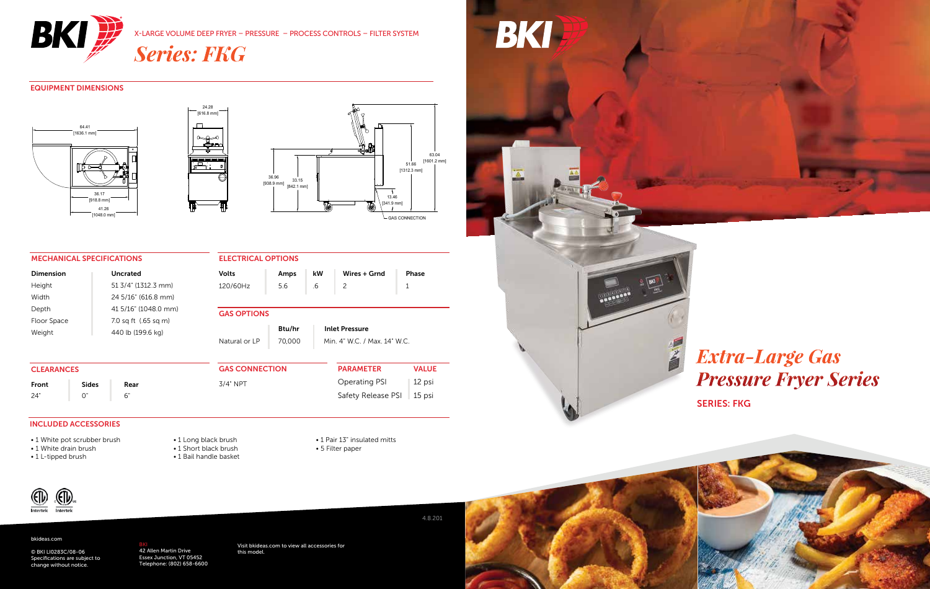

X-LARGE VOLUME DEEP FRYER – PRESSURE – PROCESS CONTROLS – FILTER SYSTEM

*Series: FKG*

#### EQUIPMENT DIMENSIONS







#### MECHANICAL SPECIFICATIONS

| <b>ELECTRICAL OPTIONS</b> |        |    |                                |        |
|---------------------------|--------|----|--------------------------------|--------|
| <b>Volts</b>              | Amps   | kW | Wires + Grnd                   | Phase  |
| 120/60Hz                  | 5.6    | .6 | 2                              | 1      |
|                           |        |    |                                |        |
| <b>GAS OPTIONS</b>        |        |    |                                |        |
|                           | Btu/hr |    | <b>Inlet Pressure</b>          |        |
| Natural or IP             | 70,000 |    | Min $4"$ W.C. / Max $14"$ W.C. |        |
|                           |        |    |                                |        |
| <b>GAS CONNECTION</b>     |        |    | <b>PARAMETER</b>               | VAI UF |

| <b>CLEARANCES</b> |                                                                                                                                                                                                                                                                                                                                                                                                                                                                                            |      | <b>GAS CONNECTION</b> | <b>PARAMETER</b>          | <b>VALUE</b> |
|-------------------|--------------------------------------------------------------------------------------------------------------------------------------------------------------------------------------------------------------------------------------------------------------------------------------------------------------------------------------------------------------------------------------------------------------------------------------------------------------------------------------------|------|-----------------------|---------------------------|--------------|
| Front             | <b>Sides</b>                                                                                                                                                                                                                                                                                                                                                                                                                                                                               | Rear | $3/4"$ NPT            | Operating PSI 12 psi      |              |
| 24"               | $\blacksquare$ $\blacksquare$ $\blacksquare$ $\blacksquare$ $\blacksquare$ $\blacksquare$ $\blacksquare$ $\blacksquare$ $\blacksquare$ $\blacksquare$ $\blacksquare$ $\blacksquare$ $\blacksquare$ $\blacksquare$ $\blacksquare$ $\blacksquare$ $\blacksquare$ $\blacksquare$ $\blacksquare$ $\blacksquare$ $\blacksquare$ $\blacksquare$ $\blacksquare$ $\blacksquare$ $\blacksquare$ $\blacksquare$ $\blacksquare$ $\blacksquare$ $\blacksquare$ $\blacksquare$ $\blacksquare$ $\blacks$ |      |                       | Safety Release PSI 15 psi |              |

#### INCLUDED ACCESSORIES

- 1 White pot scrubber brush
- 1 White drain brush
- 1 L-tipped brush

• 1 Long black brush • 1 Short black brush • 1 Bail handle basket • 1 Pair 13" insulated mitts • 5 Filter paper



#### bkideas.com

© BKI LI0283C/08-06 Specifications are subject to change without notice.

<mark>BKI</mark><br>42 Allen Martin Drive<br>Essex Junction, VT 05452 Telephone: (802) 658-6600 Visit bkideas.com to view all accessories for this model.